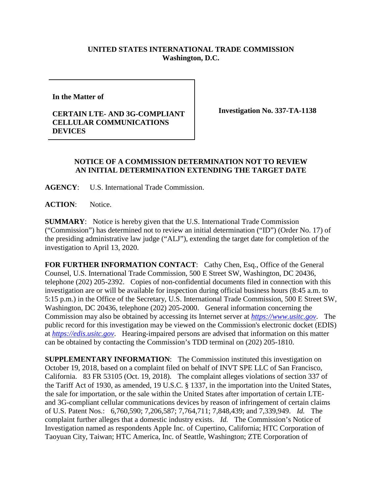## **UNITED STATES INTERNATIONAL TRADE COMMISSION Washington, D.C.**

**In the Matter of** 

## **CERTAIN LTE- AND 3G-COMPLIANT CELLULAR COMMUNICATIONS DEVICES**

**Investigation No. 337-TA-1138**

## **NOTICE OF A COMMISSION DETERMINATION NOT TO REVIEW AN INITIAL DETERMINATION EXTENDING THE TARGET DATE**

**AGENCY**: U.S. International Trade Commission.

**ACTION**: Notice.

**SUMMARY**: Notice is hereby given that the U.S. International Trade Commission ("Commission") has determined not to review an initial determination ("ID") (Order No. 17) of the presiding administrative law judge ("ALJ"), extending the target date for completion of the investigation to April 13, 2020.

FOR FURTHER INFORMATION CONTACT: Cathy Chen, Esq., Office of the General Counsel, U.S. International Trade Commission, 500 E Street SW, Washington, DC 20436, telephone (202) 205-2392. Copies of non-confidential documents filed in connection with this investigation are or will be available for inspection during official business hours (8:45 a.m. to 5:15 p.m.) in the Office of the Secretary, U.S. International Trade Commission, 500 E Street SW, Washington, DC 20436, telephone (202) 205-2000. General information concerning the Commission may also be obtained by accessing its Internet server at *[https://www.usitc.gov](https://www.usitc.gov/)*. The public record for this investigation may be viewed on the Commission's electronic docket (EDIS) at *[https://edis.usitc.gov](https://edis.usitc.gov/)*. Hearing-impaired persons are advised that information on this matter can be obtained by contacting the Commission's TDD terminal on (202) 205-1810.

**SUPPLEMENTARY INFORMATION**: The Commission instituted this investigation on October 19, 2018, based on a complaint filed on behalf of INVT SPE LLC of San Francisco, California. 83 FR 53105 (Oct. 19, 2018). The complaint alleges violations of section 337 of the Tariff Act of 1930, as amended, 19 U.S.C. § 1337, in the importation into the United States, the sale for importation, or the sale within the United States after importation of certain LTEand 3G-compliant cellular communications devices by reason of infringement of certain claims of U.S. Patent Nos.: 6,760,590; 7,206,587; 7,764,711; 7,848,439; and 7,339,949. *Id.* The complaint further alleges that a domestic industry exists. *Id.* The Commission's Notice of Investigation named as respondents Apple Inc. of Cupertino, California; HTC Corporation of Taoyuan City, Taiwan; HTC America, Inc. of Seattle, Washington; ZTE Corporation of